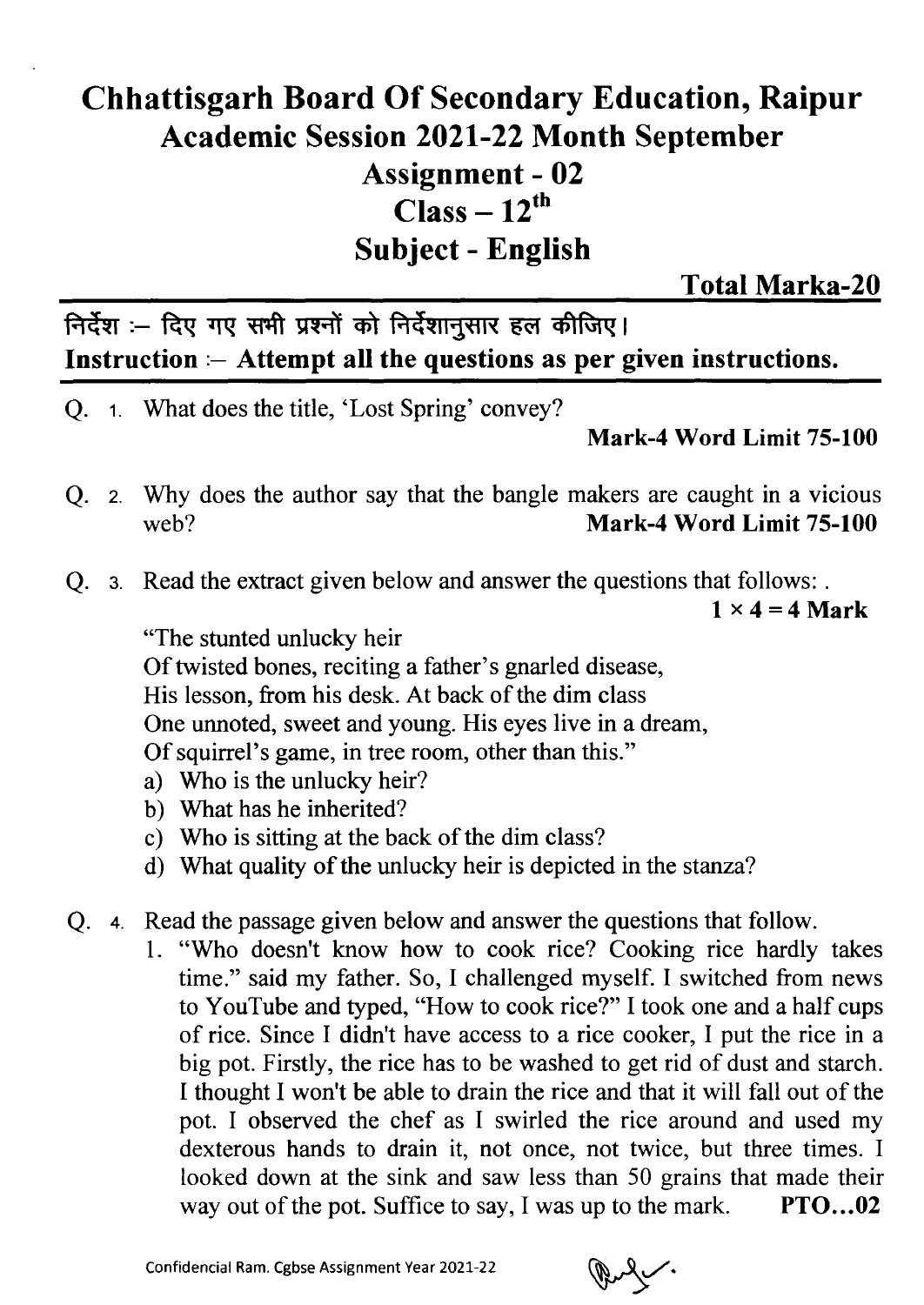## Chhattisgarh Board Of Secondary Education, Raipur Academic Session 2021-22 Month September Assignment - 02  $Class - 12^{th}$ Subject - English

Total Marka-20

निर्देश :- दिए गए सभी प्रश्नों को निर्देशानूसार हल कीजिए। **Instruction :— Attempt all the questions as per given instructions.**

What does the title, 'Lost Spring' convey?

**Mark-4 Word Limit 75-100**

- Why does the author say that the bangle makers are caught in a vicious **web? Mark-4 Word Limit 75-100**
- Q. 3. Read the extract given below and answer the questions that follows: .

 $1 \times 4 = 4$  Mark

"The stunted unlucky heir

Of twisted bones, reciting a father's gnarled disease, His lesson, from his desk. At back of the dim class One unnoted, sweet and young. His eyes live in a dream, Of squirrel's game, in tree room, other than this."

- Who is the unlucky heir?
- What has he inherited?
- Who is sitting at the back of the dim class?
- What quality of the unlucky heir is depicted in the stanza?
- Q. 4. Read the passage given below and answer the questions that follow.
	- 1. "Who doesn't know how to cook rice? Cooking rice hardly takes time." said my father. So, I challenged myself. I switched from news to YouTube and typed, "How to cook rice?" I took one and a half cups of rice. Since I didn't have access to a rice cooker, I put the rice in a big pot. Firstly, the rice has to be washed to get rid of dust and starch. I thought I won't be able to drain the rice and that it will fall out of the pot. I observed the chef as I swirled the rice around and used my dexterous hands to drain it, not once, not twice, but three times. I looked down at the sink and saw less than 50 grains that made their way out of the pot. Suffice to say, I was up to the mark. PTO...02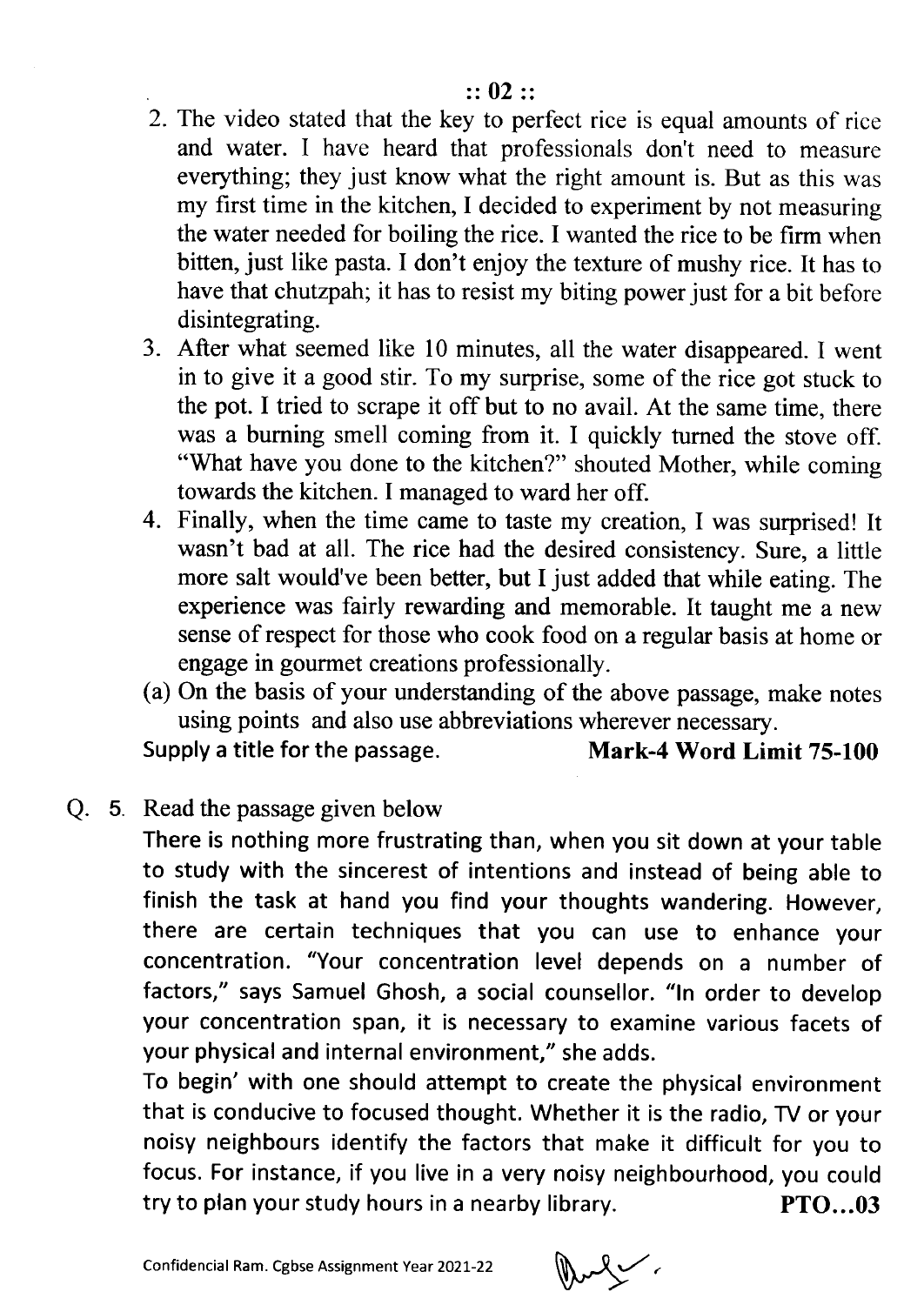- 2. The video stated that the key to perfect rice is equal amounts of rice and water. I have heard that professionals don't need to measure everything; they just know what the right amount is. But as this was my first time in the kitchen, I decided to experiment by not measuring the water needed for boiling the rice. I wanted the rice to be firm when bitten, just like pasta. I don't enjoy the texture of mushy rice. It has to have that chutzpah; it has to resist my biting power just for a bit before disintegrating.
- After what seemed like 10 minutes, all the water disappeared. I went in to give it a good stir. To my surprise, some of the rice got stuck to the pot. I tried to scrape it off but to no avail. At the same time, there was a burning smell coming from it. I quickly turned the stove off "What have you done to the kitchen?" shouted Mother, while coming towards the kitchen. I managed to ward her off
- 4. Finally, when the time came to taste my creation, I was surprised! It wasn't bad at all. The rice had the desired consistency. Sure, a little more salt would've been better, but I just added that while eating. The experience was fairly rewarding and memorable. It taught me a new sense of respect for those who cook food on a regular basis at home or engage in gourmet creations professionally.
- (a) On the basis of your understanding of the above passage, make notes using points and also use abbreviations wherever necessary.

Supply a title for the passage. Mark-4 Word Limit 75-100

Q. 5. Read the passage given below

There is nothing more frustrating than, when you sit down at your table to study with the sincerest of intentions and instead of being able to finish the task at hand you find your thoughts wandering. However, there are certain techniques that you can use to enhance your concentration. "Your concentration level depends on a number of factors," says Samuel Ghosh, a social counsellor. "In order to develop your concentration span, it is necessary to examine various facets of your physical and internal environment," she adds.

To begin' with one should attempt to create the physical environment that is conducive to focused thought. Whether it is the radio, TV or your noisy neighbours identify the factors that make it difficult for you to focus. For instance, if you live in a very noisy neighbourhood, you could try to plan your study hours in a nearby library. PTO...03